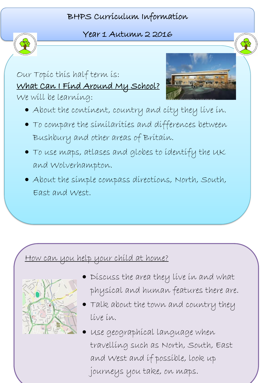## BHPS Curriculum Information



l

## Year 1 Autumn 2 2016

 $\overline{\phantom{0}}$ Our Topic this half term is: What Can I Find Around My School? We will be learning:



- About the continent, country and city they live in.
- $\overline{a}$  Bushbury and other areas of Britain. To compare the similarities and differences between
- To use maps, atlases and globes to identify the UK and Wolverhampton.
- About the simple compass directions, North, South, East and West.

ׇ֦֘֡

L

## How can you help your child at home?



- $\overline{\phantom{a}}$ . Discuss the area they live in and what physical and human features there are.
- Talk about the town and country they live in.
- travelling such as North, South, East Use geographical language when and West and if possible, Look up journeys you take, on maps.